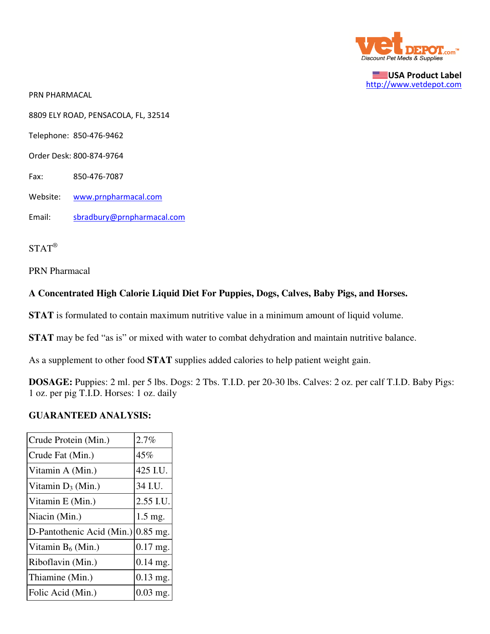

USA Product Label http://www.vetdepot.com

PRN PHARMACAL

8809 ELY ROAD, PENSACOLA, FL, 32514

Telephone: 850-476-9462

Order Desk: 800-874-9764

Fax: 850-476-7087

Website: www.prnpharmacal.com

Email: sbradbury@prnpharmacal.com

STAT®

PRN Pharmacal

### **A Concentrated High Calorie Liquid Diet For Puppies, Dogs, Calves, Baby Pigs, and Horses.**

**STAT** is formulated to contain maximum nutritive value in a minimum amount of liquid volume.

**STAT** may be fed "as is" or mixed with water to combat dehydration and maintain nutritive balance.

As a supplement to other food **STAT** supplies added calories to help patient weight gain.

**DOSAGE:** Puppies: 2 ml. per 5 lbs. Dogs: 2 Tbs. T.I.D. per 20-30 lbs. Calves: 2 oz. per calf T.I.D. Baby Pigs: 1 oz. per pig T.I.D. Horses: 1 oz. daily

#### **GUARANTEED ANALYSIS:**

| Crude Protein (Min.)      | 2.7%       |
|---------------------------|------------|
| Crude Fat (Min.)          | 45%        |
| Vitamin A (Min.)          | 425 I.U.   |
| Vitamin $D_3$ (Min.)      | 34 I.U.    |
| Vitamin E (Min.)          | 2.55 I.U.  |
| Niacin (Min.)             | $1.5$ mg.  |
| D-Pantothenic Acid (Min.) | $0.85$ mg. |
| Vitamin $B_6$ (Min.)      | $0.17$ mg. |
| Riboflavin (Min.)         | $0.14$ mg. |
| Thiamine (Min.)           | $0.13$ mg. |
| Folic Acid (Min.)         | $0.03$ mg. |